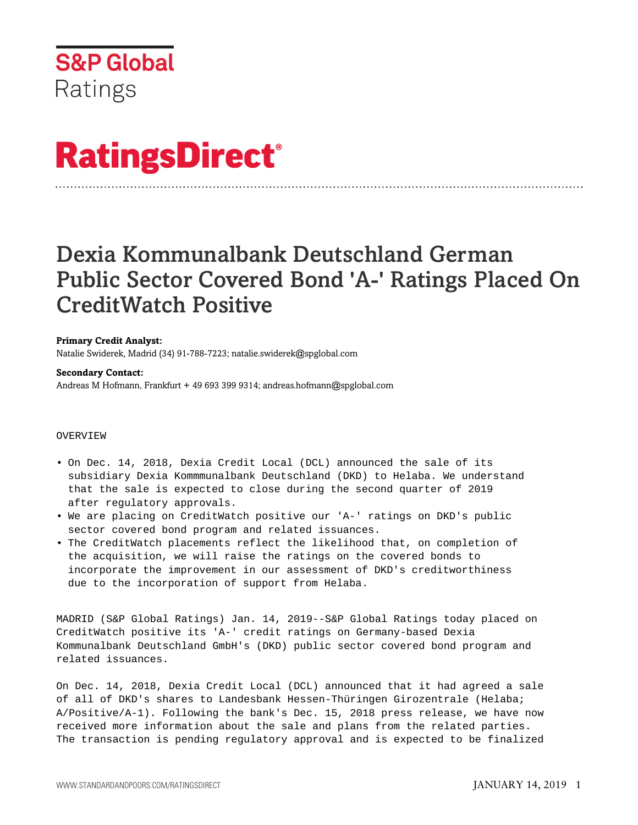

# **RatingsDirect®**

# Dexia Kommunalbank Deutschland German Public Sector Covered Bond 'A-' Ratings Placed On CreditWatch Positive

# **Primary Credit Analyst:**

Natalie Swiderek, Madrid (34) 91-788-7223; natalie.swiderek@spglobal.com

#### **Secondary Contact:**

Andreas M Hofmann, Frankfurt + 49 693 399 9314; andreas.hofmann@spglobal.com

## OVERVIEW

- On Dec. 14, 2018, Dexia Credit Local (DCL) announced the sale of its subsidiary Dexia Kommmunalbank Deutschland (DKD) to Helaba. We understand that the sale is expected to close during the second quarter of 2019 after regulatory approvals.
- We are placing on CreditWatch positive our 'A-' ratings on DKD's public sector covered bond program and related issuances.
- The CreditWatch placements reflect the likelihood that, on completion of the acquisition, we will raise the ratings on the covered bonds to incorporate the improvement in our assessment of DKD's creditworthiness due to the incorporation of support from Helaba.

MADRID (S&P Global Ratings) Jan. 14, 2019--S&P Global Ratings today placed on CreditWatch positive its 'A-' credit ratings on Germany-based Dexia Kommunalbank Deutschland GmbH's (DKD) public sector covered bond program and related issuances.

On Dec. 14, 2018, Dexia Credit Local (DCL) announced that it had agreed a sale of all of DKD's shares to Landesbank Hessen-Thüringen Girozentrale (Helaba; A/Positive/A-1). Following the bank's Dec. 15, 2018 press release, we have now received more information about the sale and plans from the related parties. The transaction is pending regulatory approval and is expected to be finalized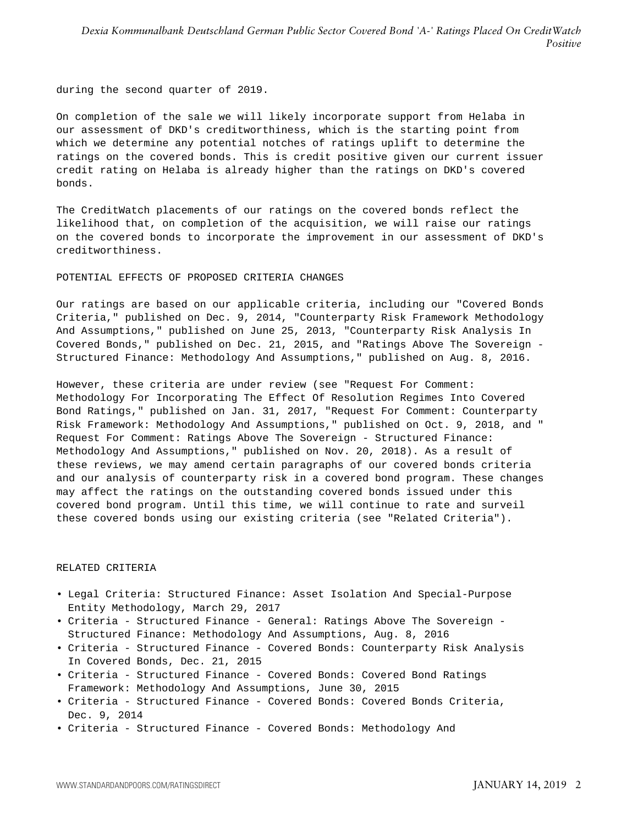during the second quarter of 2019.

On completion of the sale we will likely incorporate support from Helaba in our assessment of DKD's creditworthiness, which is the starting point from which we determine any potential notches of ratings uplift to determine the ratings on the covered bonds. This is credit positive given our current issuer credit rating on Helaba is already higher than the ratings on DKD's covered bonds.

The CreditWatch placements of our ratings on the covered bonds reflect the likelihood that, on completion of the acquisition, we will raise our ratings on the covered bonds to incorporate the improvement in our assessment of DKD's creditworthiness.

POTENTIAL EFFECTS OF PROPOSED CRITERIA CHANGES

Our ratings are based on our applicable criteria, including our "Covered Bonds Criteria," published on Dec. 9, 2014, "Counterparty Risk Framework Methodology And Assumptions," published on June 25, 2013, "Counterparty Risk Analysis In Covered Bonds," published on Dec. 21, 2015, and "Ratings Above The Sovereign - Structured Finance: Methodology And Assumptions," published on Aug. 8, 2016.

However, these criteria are under review (see "Request For Comment: Methodology For Incorporating The Effect Of Resolution Regimes Into Covered Bond Ratings," published on Jan. 31, 2017, "Request For Comment: Counterparty Risk Framework: Methodology And Assumptions," published on Oct. 9, 2018, and " Request For Comment: Ratings Above The Sovereign - Structured Finance: Methodology And Assumptions," published on Nov. 20, 2018). As a result of these reviews, we may amend certain paragraphs of our covered bonds criteria and our analysis of counterparty risk in a covered bond program. These changes may affect the ratings on the outstanding covered bonds issued under this covered bond program. Until this time, we will continue to rate and surveil these covered bonds using our existing criteria (see "Related Criteria").

### RELATED CRITERIA

- Legal Criteria: Structured Finance: Asset Isolation And Special-Purpose Entity Methodology, March 29, 2017
- Criteria Structured Finance General: Ratings Above The Sovereign Structured Finance: Methodology And Assumptions, Aug. 8, 2016
- Criteria Structured Finance Covered Bonds: Counterparty Risk Analysis In Covered Bonds, Dec. 21, 2015
- Criteria Structured Finance Covered Bonds: Covered Bond Ratings Framework: Methodology And Assumptions, June 30, 2015
- Criteria Structured Finance Covered Bonds: Covered Bonds Criteria, Dec. 9, 2014
- Criteria Structured Finance Covered Bonds: Methodology And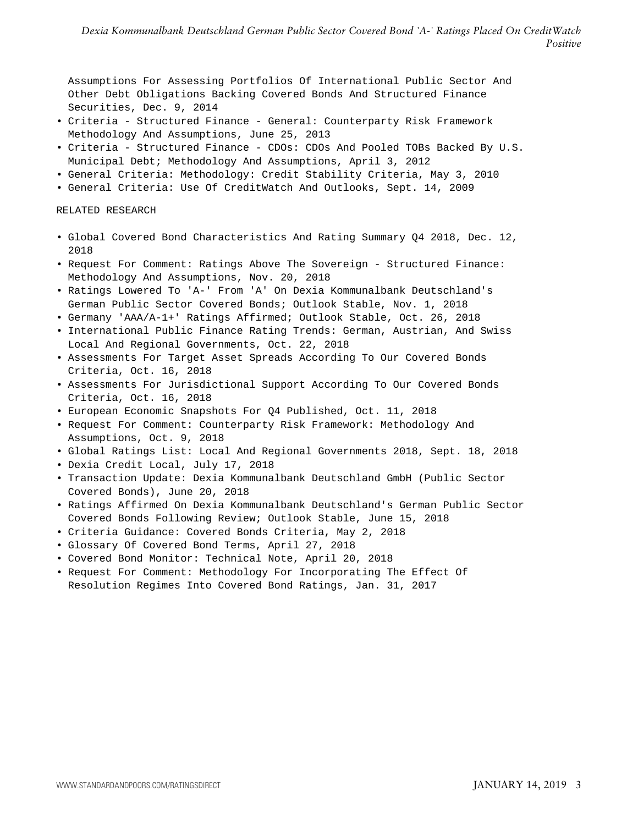Assumptions For Assessing Portfolios Of International Public Sector And Other Debt Obligations Backing Covered Bonds And Structured Finance Securities, Dec. 9, 2014

- Criteria Structured Finance General: Counterparty Risk Framework Methodology And Assumptions, June 25, 2013
- Criteria Structured Finance CDOs: CDOs And Pooled TOBs Backed By U.S. Municipal Debt; Methodology And Assumptions, April 3, 2012
- General Criteria: Methodology: Credit Stability Criteria, May 3, 2010
- General Criteria: Use Of CreditWatch And Outlooks, Sept. 14, 2009

#### RELATED RESEARCH

- Global Covered Bond Characteristics And Rating Summary Q4 2018, Dec. 12, 2018
- Request For Comment: Ratings Above The Sovereign Structured Finance: Methodology And Assumptions, Nov. 20, 2018
- Ratings Lowered To 'A-' From 'A' On Dexia Kommunalbank Deutschland's German Public Sector Covered Bonds; Outlook Stable, Nov. 1, 2018
- Germany 'AAA/A-1+' Ratings Affirmed; Outlook Stable, Oct. 26, 2018
- International Public Finance Rating Trends: German, Austrian, And Swiss Local And Regional Governments, Oct. 22, 2018
- Assessments For Target Asset Spreads According To Our Covered Bonds Criteria, Oct. 16, 2018
- Assessments For Jurisdictional Support According To Our Covered Bonds Criteria, Oct. 16, 2018
- European Economic Snapshots For Q4 Published, Oct. 11, 2018
- Request For Comment: Counterparty Risk Framework: Methodology And Assumptions, Oct. 9, 2018
- Global Ratings List: Local And Regional Governments 2018, Sept. 18, 2018
- Dexia Credit Local, July 17, 2018
- Transaction Update: Dexia Kommunalbank Deutschland GmbH (Public Sector Covered Bonds), June 20, 2018
- Ratings Affirmed On Dexia Kommunalbank Deutschland's German Public Sector Covered Bonds Following Review; Outlook Stable, June 15, 2018
- Criteria Guidance: Covered Bonds Criteria, May 2, 2018
- Glossary Of Covered Bond Terms, April 27, 2018
- Covered Bond Monitor: Technical Note, April 20, 2018
- Request For Comment: Methodology For Incorporating The Effect Of Resolution Regimes Into Covered Bond Ratings, Jan. 31, 2017